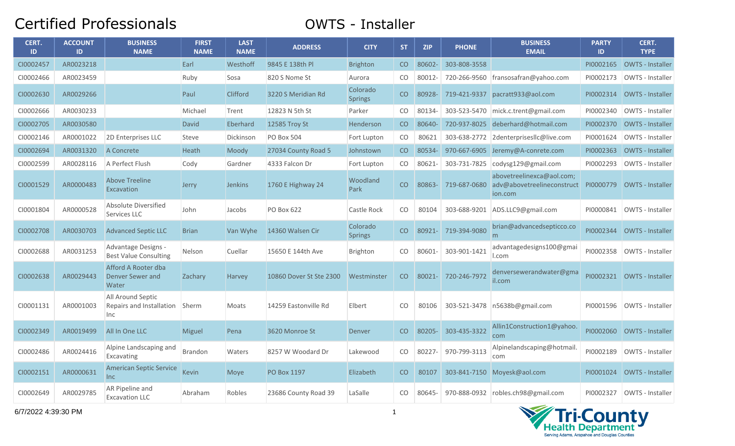## Certified Professionals **Certified Professionals**

| CERT.<br>ID | <b>ACCOUNT</b><br>ID | <b>BUSINESS</b><br><b>NAME</b>                          | <b>FIRST</b><br><b>NAME</b> | <b>LAST</b><br><b>NAME</b> | <b>ADDRESS</b>          | <b>CITY</b>                | <b>ST</b>     | <b>ZIP</b> | <b>PHONE</b> | <b>BUSINESS</b><br><b>EMAIL</b>                                    | <b>PARTY</b><br>ID | CERT.<br><b>TYPE</b>    |
|-------------|----------------------|---------------------------------------------------------|-----------------------------|----------------------------|-------------------------|----------------------------|---------------|------------|--------------|--------------------------------------------------------------------|--------------------|-------------------------|
| CI0002457   | AR0023218            |                                                         | Earl                        | Westhoff                   | 9845 E 138th Pl         | <b>Brighton</b>            | CO            | 80602-     | 303-808-3558 |                                                                    | PI0002165          | <b>OWTS - Installer</b> |
| CI0002466   | AR0023459            |                                                         | Ruby                        | Sosa                       | 820 S Nome St           | Aurora                     | CO            | 80012-     |              | 720-266-9560 fransosafran@yahoo.com                                | PI0002173          | OWTS - Installer        |
| CI0002630   | AR0029266            |                                                         | Paul                        | Clifford                   | 3220 S Meridian Rd      | Colorado<br><b>Springs</b> | CO            | 80928-     |              | 719-421-9337 pacratt933@aol.com                                    | PI0002314          | OWTS - Installer        |
| CI0002666   | AR0030233            |                                                         | Michael                     | Trent                      | 12823 N 5th St          | Parker                     | CO            | 80134-     |              | 303-523-5470 mick.c.trent@gmail.com                                | PI0002340          | OWTS - Installer        |
| CI0002705   | AR0030580            |                                                         | <b>David</b>                | Eberhard                   | 12585 Troy St           | Henderson                  | CO.           | 80640-     |              | 720-937-8025 deberhard@hotmail.com                                 | PI0002370          | OWTS - Installer        |
| CI0002146   | AR0001022            | 2D Enterprises LLC                                      | Steve                       | Dickinson                  | <b>PO Box 504</b>       | Fort Lupton                | CO            | 80621      |              | 303-638-2772 2denterprisesIlc@live.com                             | PI0001624          | <b>OWTS - Installer</b> |
| CI0002694   | AR0031320            | A Concrete                                              | Heath                       | Moody                      | 27034 County Road 5     | Johnstown                  | CO            | 80534-     |              | 970-667-6905 Jeremy@A-conrete.com                                  | PI0002363          | <b>OWTS - Installer</b> |
| CI0002599   | AR0028116            | A Perfect Flush                                         | Cody                        | Gardner                    | 4333 Falcon Dr          | Fort Lupton                | CO            | 80621-     |              | 303-731-7825   codysg129@gmail.com                                 | PI0002293          | OWTS - Installer        |
| CI0001529   | AR0000483            | <b>Above Treeline</b><br>Excavation                     | Jerry                       | <b>Jenkins</b>             | 1760 E Highway 24       | Woodland<br>Park           | CO            | 80863-     | 719-687-0680 | abovetreelinexca@aol.com;<br>adv@abovetreelineconstruct<br>ion.com | PI0000779          | <b>OWTS - Installer</b> |
| CI0001804   | AR0000528            | Absolute Diversified<br>Services LLC                    | John                        | Jacobs                     | PO Box 622              | Castle Rock                | CO.           | 80104      | 303-688-9201 | ADS.LLC9@gmail.com                                                 | PI0000841          | OWTS - Installer        |
| CI0002708   | AR0030703            | <b>Advanced Septic LLC</b>                              | <b>Brian</b>                | Van Wyhe                   | 14360 Walsen Cir        | Colorado<br><b>Springs</b> | CO            | 80921-     | 719-394-9080 | brian@advancedsepticco.co<br>m                                     | PI0002344          | OWTS - Installer        |
| CI0002688   | AR0031253            | Advantage Designs -<br><b>Best Value Consulting</b>     | Nelson                      | Cuellar                    | 15650 E 144th Ave       | <b>Brighton</b>            | CO.           | 80601-     | 303-901-1421 | advantagedesigns100@gmai<br>l.com                                  | PI0002358          | <b>OWTS - Installer</b> |
| CI0002638   | AR0029443            | Afford A Rooter dba<br><b>Denver Sewer and</b><br>Water | Zachary                     | Harvey                     | 10860 Dover St Ste 2300 | Westminster                | CO            | 80021-     | 720-246-7972 | denversewerandwater@gma<br>il.com                                  | PI0002321          | OWTS - Installer        |
| CI0001131   | AR0001003            | All Around Septic<br>Repairs and Installation<br>Inc.   | Sherm                       | Moats                      | 14259 Eastonville Rd    | Elbert                     | <sub>CO</sub> | 80106      | 303-521-3478 | n5638b@gmail.com                                                   | PI0001596          | OWTS - Installer        |
| CI0002349   | AR0019499            | All In One LLC                                          | Miguel                      | Pena                       | 3620 Monroe St          | Denver                     | CO            | 80205-     | 303-435-3322 | Allin1Construction1@yahoo.<br>com                                  | PI0002060          | <b>OWTS - Installer</b> |
| CI0002486   | AR0024416            | Alpine Landscaping and<br>Excavating                    | <b>Brandon</b>              | Waters                     | 8257 W Woodard Dr       | Lakewood                   | CO.           | 80227      | 970-799-3113 | Alpinelandscaping@hotmail.<br>com                                  | PI0002189          | <b>OWTS - Installer</b> |
| CI0002151   | AR0000631            | <b>American Septic Service</b><br>Inc                   | <b>Kevin</b>                | Moye                       | PO Box 1197             | Elizabeth                  | CO            | 80107      |              | 303-841-7150 Moyesk@aol.com                                        | PI0001024          | <b>OWTS - Installer</b> |
| CI0002649   | AR0029785            | AR Pipeline and<br><b>Excavation LLC</b>                | Abraham                     | Robles                     | 23686 County Road 39    | LaSalle                    | CO            | 80645-     |              | 970-888-0932 robles.ch98@gmail.com                                 | PI0002327          | OWTS - Installer        |

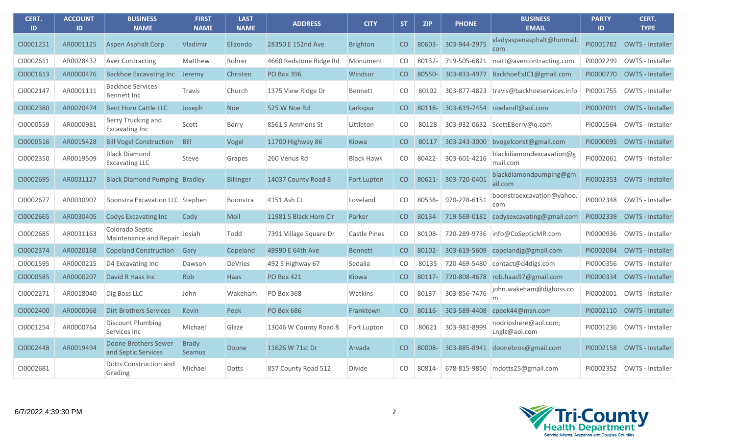| CERT.<br>ID | <b>ACCOUNT</b><br>ID | <b>BUSINESS</b><br><b>NAME</b>                | <b>FIRST</b><br><b>NAME</b>   | <b>LAST</b><br><b>NAME</b> | <b>ADDRESS</b>         | <b>CITY</b>        | ST.             | <b>ZIP</b> | <b>PHONE</b> | <b>BUSINESS</b><br><b>EMAIL</b>        | <b>PARTY</b><br>ID | CERT.<br><b>TYPE</b>    |
|-------------|----------------------|-----------------------------------------------|-------------------------------|----------------------------|------------------------|--------------------|-----------------|------------|--------------|----------------------------------------|--------------------|-------------------------|
| CI0001251   | AR0001125            | <b>Aspen Asphalt Corp</b>                     | <b>Vladimir</b>               | Elizondo                   | 28350 E 152nd Ave      | <b>Brighton</b>    | CO              | 80603      | 303-944-2975 | vladyaspenasphalt@hotmail.<br>com      | PI0001782          | <b>OWTS - Installer</b> |
| CI0002611   | AR0028432            | <b>Aver Contracting</b>                       | Matthew                       | Rohrer                     | 4660 Redstone Ridge Rd | Monument           | CO.             | 80132-     | 719-505-6821 | $\vert$ matt@avercontracting.com       | PI0002299          | OWTS - Installer        |
| CI0001613   | AR0000476            | <b>Backhoe Excavating Inc.</b>                | Jeremy                        | Christen                   | <b>PO Box 396</b>      | Windsor            | CO              | 80550-     | 303-833-4977 | BackhoeExJC1@gmail.com                 | PI0000770          | <b>OWTS - Installer</b> |
| CI0002147   | AR0001111            | <b>Backhoe Services</b><br>Bennett Inc        | Travis                        | Church                     | 1375 View Ridge Dr     | Bennett            | CO.             | 80102      | 303-877-4823 | travis@backhoeservices.info            | PI0001755          | <b>OWTS - Installer</b> |
| CI0002380   | AR0020474            | <b>Bent Horn Cattle LLC</b>                   | Joseph                        | <b>Noe</b>                 | 525 W Noe Rd           | Larkspur           | CO              | 80118-     |              | 303-619-7454 noelandl@aol.com          | PI0002091          | OWTS - Installer        |
| CI0000559   | AR0000981            | Berry Trucking and<br><b>Excavating Inc</b>   | Scott                         | Berry                      | 8561 S Ammons St       | Littleton          | CO.             | 80128      |              | 303-932-0632 ScottEBerry@g.com         | PI0001564          | OWTS - Installer        |
| CI0000516   | AR0015428            | <b>Bill Vogel Construction</b>                | <b>Bill</b>                   | Vogel                      | 11700 Highway 86       | Kiowa              | CO              | 80117      | 303-243-3000 | bvogelconst@gmail.com                  | PI0000095          | <b>OWTS - Installer</b> |
| CI0002350   | AR0019509            | <b>Black Diamond</b><br><b>Excavating LLC</b> | Steve                         | Grapes                     | 260 Venus Rd           | <b>Black Hawk</b>  | CO.             | 80422-     | 303-601-4216 | blackdiamondexcavation@g<br>mail.com   | PI0002061          | <b>OWTS - Installer</b> |
| CI0002695   | AR0031127            | <b>Black Diamond Pumping Bradley</b>          |                               | <b>Billinger</b>           | 14037 County Road 8    | <b>Fort Lupton</b> | CO              | 80621-     | 303-720-0401 | blackdiamondpumping@gm<br>ail.com      | PI0002353          | OWTS - Installer        |
| CI0002677   | AR0030907            | Boonstra Excavation LLC Stephen               |                               | Boonstra                   | 4151 Ash Ct            | Loveland           | CO.             | 80538      | 970-278-6151 | boonstraexcavation@yahoo.<br>com       | PI0002348          | OWTS - Installer        |
| CI0002665   | AR0030405            | <b>Codys Excavating Inc</b>                   | Cody                          | Moll                       | 11981 S Black Horn Cir | Parker             | CO              | 80134-     |              | 719-569-0181 codysexcavating@gmail.com | PI0002339          | <b>OWTS - Installer</b> |
| CI0002685   | AR0031163            | Colorado Septic<br>Maintenance and Repair     | Josiah                        | Todd                       | 7391 Village Square Dr | Castle Pines       | CO.             | 80108-     |              | 720-289-9736   info@CoSepticMR.com     | PI0000936          | OWTS - Installer        |
| CI0002374   | AR0020168            | <b>Copeland Construction</b>                  | Gary                          | Copeland                   | 49990 E 64th Ave       | <b>Bennett</b>     | CO              | 80102-     | 303-619-5609 | copelandjg@gmail.com                   | PI0002084          | <b>OWTS - Installer</b> |
| CI0001595   | AR0000215            | D4 Excavating Inc                             | Dawson                        | <b>DeVries</b>             | 492 S Highway 67       | Sedalia            | CO.             | 80135      |              | 720-469-5480 contact@d4digs.com        | PI0000356          | OWTS - Installer        |
| CI0000585   | AR0000207            | David R Haas Inc                              | Rob                           | <b>Haas</b>                | <b>PO Box 421</b>      | <b>Kiowa</b>       | CO              | 80117-     |              | 720-808-4678 rob.haas97@gmail.com      | PI0000334          | <b>OWTS - Installer</b> |
| CI0002271   | AR0018040            | Dig Boss LLC                                  | John                          | Wakeham                    | <b>PO Box 368</b>      | Watkins            | CO.             | 80137-     | 303-856-7476 | john.wakeham@digboss.co                | PI0002001          | OWTS - Installer        |
| CI0002400   | AR0000068            | <b>Dirt Brothers Services</b>                 | <b>Kevin</b>                  | Peek                       | <b>PO Box 686</b>      | Franktown          | CO              | 80116-     |              | 303-589-4408 cpeek44@msn.com           | PI0002110          | OWTS - Installer        |
| CI0001254   | AR0000764            | <b>Discount Plumbing</b><br>Services Inc      | Michael                       | Glaze                      | 13046 W County Road 8  | Fort Lupton        | CO <sub>1</sub> | 80621      | 303-981-8999 | nodripshere@aol.com;<br>Lnglz@aol.com  | PI0001236          | OWTS - Installer        |
| CI0002448   | AR0019494            | Doone Brothers Sewer<br>and Septic Services   | <b>Brady</b><br><b>Seamus</b> | Doone                      | 11626 W 71st Dr        | Arvada             | CO              | 80008-     | 303-885-8941 | doonebros@gmail.com                    | PI0002158          | <b>OWTS - Installer</b> |
| CI0002681   |                      | Dotts Construction and<br>Grading             | Michael                       | Dotts                      | 857 County Road 512    | <b>Divide</b>      | CO              | 80814-     |              | 678-815-9850 mdotts25@gmail.com        | PI0002352          | OWTS - Installer        |

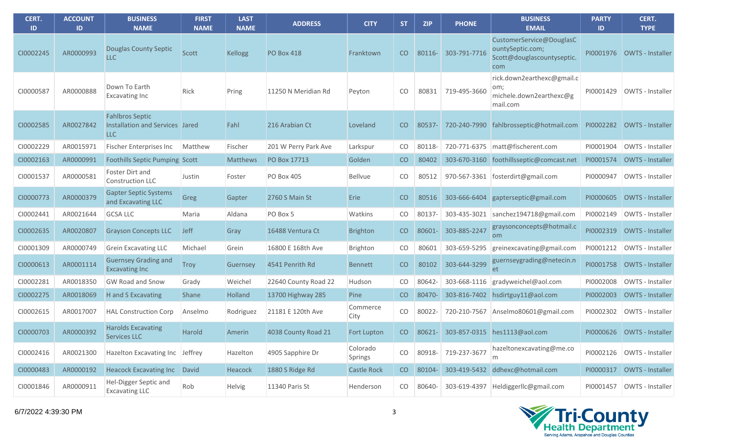| CERT.<br><b>ID</b> | <b>ACCOUNT</b><br>ID | <b>BUSINESS</b><br><b>NAME</b>                                          | <b>FIRST</b><br><b>NAME</b> | <b>LAST</b><br><b>NAME</b> | <b>ADDRESS</b>       | <b>CITY</b>         | <b>ST</b> | <b>ZIP</b> | <b>PHONE</b> | <b>BUSINESS</b><br><b>EMAIL</b>                                                   | <b>PARTY</b><br>$\mathsf{ID}$ | CERT.<br><b>TYPE</b>       |
|--------------------|----------------------|-------------------------------------------------------------------------|-----------------------------|----------------------------|----------------------|---------------------|-----------|------------|--------------|-----------------------------------------------------------------------------------|-------------------------------|----------------------------|
| CI0002245          | AR0000993            | Douglas County Septic<br><b>LLC</b>                                     | Scott                       | <b>Kellogg</b>             | <b>PO Box 418</b>    | Franktown           | CO.       | 80116-     | 303-791-7716 | CustomerService@DouglasC<br>ountySeptic.com;<br>Scott@douglascountyseptic.<br>com |                               | PI0001976 OWTS - Installer |
| CI0000587          | AR0000888            | Down To Earth<br><b>Excavating Inc</b>                                  | Rick                        | Pring                      | 11250 N Meridian Rd  | Peyton              | CO.       | 80831      | 719-495-3660 | rick.down2earthexc@gmail.c<br>om;<br>michele.down2earthexc@g<br>mail.com          | PI0001429                     | OWTS - Installer           |
| CI0002585          | AR0027842            | <b>Fahlbros Septic</b><br>Installation and Services Jared<br><b>LLC</b> |                             | Fahl                       | 216 Arabian Ct       | Loveland            | CO.       | 80537-     | 720-240-7990 | fahlbrosseptic@hotmail.com                                                        | PI0002282                     | OWTS - Installer           |
| CI0002229          | AR0015971            | <b>Fischer Enterprises Inc</b>                                          | Matthew                     | Fischer                    | 201 W Perry Park Ave | Larkspur            | CO        | 80118-     | 720-771-6375 | matt@fischerent.com                                                               | PI0001904                     | OWTS - Installer           |
| CI0002163          | AR0000991            | <b>Foothills Septic Pumping Scott</b>                                   |                             | <b>Matthews</b>            | PO Box 17713         | Golden              | CO        | 80402      | 303-670-3160 | foothillsseptic@comcast.net                                                       | PI0001574                     | OWTS - Installer           |
| CI0001537          | AR0000581            | Foster Dirt and<br>Construction LLC                                     | Justin                      | Foster                     | <b>PO Box 405</b>    | <b>Bellvue</b>      | CO        | 80512      | 970-567-3361 | fosterdirt@gmail.com                                                              | PI0000947                     | OWTS - Installer           |
| CI0000773          | AR0000379            | <b>Gapter Septic Systems</b><br>and Excavating LLC                      | Greg                        | Gapter                     | 2760 S Main St       | Erie                | CO        | 80516      | 303-666-6404 | gapterseptic@gmail.com                                                            | PI0000605                     | OWTS - Installer           |
| CI0002441          | AR0021644            | <b>GCSA LLC</b>                                                         | Maria                       | Aldana                     | PO Box 5             | Watkins             | CO        | 80137-     | 303-435-3021 | sanchez194718@gmail.com                                                           | PI0002149                     | OWTS - Installer           |
| CI0002635          | AR0020807            | <b>Grayson Concepts LLC</b>                                             | Jeff                        | Gray                       | 16488 Ventura Ct     | <b>Brighton</b>     | CO        | 80601-     | 303-885-2247 | graysonconcepts@hotmail.c<br><b>om</b>                                            | PI0002319                     | OWTS - Installer           |
| CI0001309          | AR0000749            | <b>Grein Excavating LLC</b>                                             | Michael                     | Grein                      | 16800 E 168th Ave    | Brighton            | CO        | 80601      | 303-659-5295 | greinexcavating@gmail.com                                                         | PI0001212                     | OWTS - Installer           |
| CI0000613          | AR0001114            | <b>Guernsey Grading and</b><br><b>Excavating Inc</b>                    | <b>Troy</b>                 | Guernsey                   | 4541 Penrith Rd      | <b>Bennett</b>      | CO        | 80102      | 303-644-3299 | guernseygrading@netecin.n<br>et                                                   | PI0001758                     | OWTS - Installer           |
| CI0002281          | AR0018350            | <b>GW Road and Snow</b>                                                 | Grady                       | Weichel                    | 22640 County Road 22 | Hudson              | CO        | 80642-     | 303-668-1116 | gradyweichel@aol.com                                                              | PI0002008                     | OWTS - Installer           |
| CI0002275          | AR0018069            | H and S Excavating                                                      | <b>Shane</b>                | Holland                    | 13700 Highway 285    | Pine                | CO        | 80470-     |              | 303-816-7402 hsdirtguy11@aol.com                                                  | PI0002003                     | OWTS - Installer           |
| CI0002615          | AR0017007            | <b>HAL Construction Corp</b>                                            | Anselmo                     | Rodriguez                  | 21181 E 120th Ave    | Commerce<br>City    | CO        | 80022-     | 720-210-7567 | Anselmo80601@gmail.com                                                            | PI0002302                     | OWTS - Installer           |
| CI0000703          | AR0000392            | <b>Harolds Excavating</b><br><b>Services LLC</b>                        | <b>Harold</b>               | Amerin                     | 4038 County Road 21  | <b>Fort Lupton</b>  | CO.       | 80621-     |              | 303-857-0315 hes1113@aol.com                                                      |                               | PI0000626 OWTS - Installer |
| CI0002416          | AR0021300            | Hazelton Excavating Inc                                                 | Jeffrey                     | Hazelton                   | 4905 Sapphire Dr     | Colorado<br>Springs | CO        | 80918-     | 719-237-3677 | hazeltonexcavating@me.co<br>m                                                     | PI0002126                     | OWTS - Installer           |
| CI0000483          | AR0000192            | <b>Heacock Excavating Inc</b>                                           | David                       | Heacock                    | 1880 S Ridge Rd      | <b>Castle Rock</b>  | CO        | 80104-     | 303-419-5432 | ddhexc@hotmail.com                                                                | PI0000317                     | OWTS - Installer           |
| CI0001846          | AR0000911            | Hel-Digger Septic and<br><b>Excavating LLC</b>                          | Rob                         | Helvig                     | 11340 Paris St       | Henderson           | CO        | 80640-     | 303-619-4397 | Heldiggerllc@gmail.com                                                            | PI0001457                     | OWTS - Installer           |

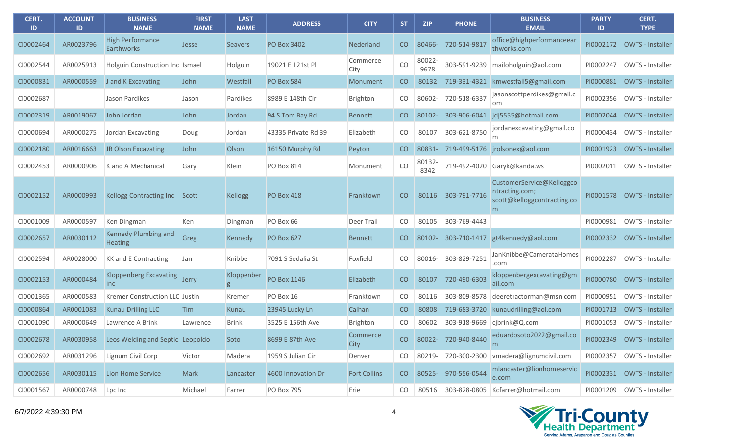| CERT.<br>ID | <b>ACCOUNT</b><br>ID | <b>BUSINESS</b><br><b>NAME</b>               | <b>FIRST</b><br><b>NAME</b> | <b>LAST</b><br><b>NAME</b> | <b>ADDRESS</b>      | <b>CITY</b>             | <b>ST</b>       | <b>ZIP</b>     | <b>PHONE</b> | <b>BUSINESS</b><br><b>EMAIL</b>                                                 | <b>PARTY</b><br>ID | CERT.<br><b>TYPE</b>         |
|-------------|----------------------|----------------------------------------------|-----------------------------|----------------------------|---------------------|-------------------------|-----------------|----------------|--------------|---------------------------------------------------------------------------------|--------------------|------------------------------|
| CI0002464   | AR0023796            | <b>High Performance</b><br><b>Earthworks</b> | Jesse                       | <b>Seavers</b>             | <b>PO Box 3402</b>  | Nederland               | CO              | 80466-         | 720-514-9817 | office@highperformanceear<br>thworks.com                                        | PI0002172          | OWTS - Installer             |
| CI0002544   | AR0025913            | Holguin Construction Inc Ismael              |                             | Holguin                    | 19021 E 121st Pl    | Commerce<br>City        | CO              | 80022-<br>9678 | 303-591-9239 | mailoholguin@aol.com                                                            | PI0002247          | OWTS - Installer             |
| CI0000831   | AR0000559            | J and K Excavating                           | John                        | Westfall                   | <b>PO Box 584</b>   | Monument                | CO <sub>1</sub> | 80132          |              | 719-331-4321 kmwestfall5@gmail.com                                              | PI0000881          | OWTS - Installer             |
| CI0002687   |                      | Jason Pardikes                               | Jason                       | Pardikes                   | 8989 E 148th Cir    | Brighton                | CO.             | 80602-         | 720-518-6337 | jasonscottperdikes@gmail.c<br>om.                                               | PI0002356          | OWTS - Installer             |
| CI0002319   | AR0019067            | John Jordan                                  | John                        | Jordan                     | 94 S Tom Bay Rd     | <b>Bennett</b>          | CO.             | 80102-         |              | 303-906-6041 jdj5555@hotmail.com                                                | PI0002044          | OWTS - Installer             |
| CI0000694   | AR0000275            | Jordan Excavating                            | Doug                        | Jordan                     | 43335 Private Rd 39 | Elizabeth               | CO.             | 80107          | 303-621-8750 | jordanexcavating@gmail.co<br>m                                                  | PI0000434          | OWTS - Installer             |
| CI0002180   | AR0016663            | JR Olson Excavating                          | John                        | Olson                      | 16150 Murphy Rd     | Peyton                  | CO              | 80831-         |              | 719-499-5176 jrolsonex@aol.com                                                  | PI0001923          | OWTS - Installer             |
| CI0002453   | AR0000906            | K and A Mechanical                           | Gary                        | Klein                      | <b>PO Box 814</b>   | Monument                | CO              | 80132-<br>8342 |              | 719-492-4020 Garyk@kanda.ws                                                     | PI0002011          | OWTS - Installer             |
| CI0002152   | AR0000993            | <b>Kellogg Contracting Inc</b>               | Scott                       | <b>Kellogg</b>             | <b>PO Box 418</b>   | Franktown               | <b>CO</b>       | 80116          | 303-791-7716 | CustomerService@Kelloggco<br>ntracting.com;<br>scott@kelloggcontracting.co<br>m | PI0001578          | OWTS - Installer             |
| CI0001009   | AR0000597            | Ken Dingman                                  | Ken                         | Dingman                    | PO Box 66           | Deer Trail              | CO              | 80105          | 303-769-4443 |                                                                                 | PI0000981          | OWTS - Installer             |
| CI0002657   | AR0030112            | Kennedy Plumbing and<br><b>Heating</b>       | Greg                        | Kennedy                    | <b>PO Box 627</b>   | <b>Bennett</b>          | CO <sub>1</sub> | 80102-         |              | 303-710-1417 gt4kennedy@aol.com                                                 | PI0002332          | OWTS - Installer             |
| CI0002594   | AR0028000            | <b>KK and E Contracting</b>                  | Jan                         | Knibbe                     | 7091 S Sedalia St   | Foxfield                | CO              | 80016-         | 303-829-7251 | JanKnibbe@CamerataHomes<br>.com                                                 | PI0002287          | OWTS - Installer             |
| CI0002153   | AR0000484            | <b>Kloppenberg Excavating</b><br>lnc.        | Jerry                       | Kloppenber<br>g            | <b>PO Box 1146</b>  | Elizabeth               | CO              | 80107          | 720-490-6303 | kloppenbergexcavating@gm<br>ail.com                                             | PI0000780          | OWTS - Installer             |
| CI0001365   | AR0000583            | Kremer Construction LLC Justin               |                             | Kremer                     | PO Box 16           | Franktown               | CO              | 80116          | 303-809-8578 | deeretractorman@msn.com                                                         | PI0000951          | OWTS - Installer             |
| CI0000864   | AR0001083            | <b>Kunau Drilling LLC</b>                    | <b>Tim</b>                  | Kunau                      | 23945 Lucky Ln      | Calhan                  | CO <sub>1</sub> | 80808          |              | 719-683-3720 kunaudrilling@aol.com                                              | PI0001713          | <b>OWTS - Installer</b>      |
| CI0001090   | AR0000649            | Lawrence A Brink                             | Lawrence                    | <b>Brink</b>               | 3525 E 156th Ave    | Brighton                | CO              | 80602          |              | 303-918-9669 cjbrink@Q.com                                                      | PI0001053          | OWTS - Installer             |
| CI0002678   |                      | AR0030958 Leos Welding and Septic Leopoldo   |                             | Soto                       | 8699 E 87th Ave     | Commerce<br><b>City</b> |                 |                |              | CO 80022- 720-940-8440 eduardosoto2022@gmail.co<br>m                            |                    | PI0002349 OWTS - Installer   |
| CI0002692   | AR0031296            | Lignum Civil Corp                            | Victor                      | Madera                     | 1959 S Julian Cir   | Denver                  | CO              | 80219-         |              | 720-300-2300   vmadera@lignumcivil.com                                          | PI0002357          | OWTS - Installer             |
| CI0002656   | AR0030115            | Lion Home Service                            | <b>Mark</b>                 | Lancaster                  | 4600 Innovation Dr  | <b>Fort Collins</b>     | CO              | 80525-         | 970-556-0544 | mlancaster@lionhomeservic<br>e.com                                              |                    | PI0002331 OWTS - Installer   |
| CI0001567   | AR0000748            | Lpc Inc                                      | Michael                     | Farrer                     | <b>PO Box 795</b>   | Erie                    | CO              | 80516          |              | 303-828-0805 Kcfarrer@hotmail.com                                               |                    | PI0001209   OWTS - Installer |

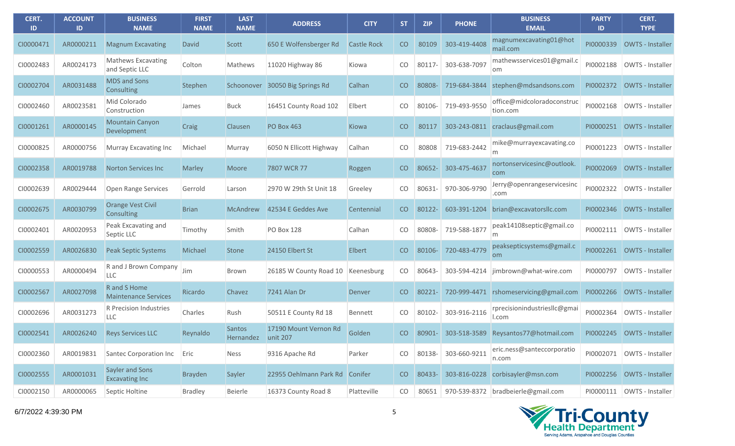| CERT.<br>ID | <b>ACCOUNT</b><br>ID | <b>BUSINESS</b><br><b>NAME</b>              | <b>FIRST</b><br><b>NAME</b> | <b>LAST</b><br><b>NAME</b> | <b>ADDRESS</b>                    | <b>CITY</b>        | <b>ST</b>       | <b>ZIP</b> | <b>PHONE</b> | <b>BUSINESS</b><br><b>EMAIL</b>        | <b>PARTY</b><br>ID | CERT.<br><b>TYPE</b>    |
|-------------|----------------------|---------------------------------------------|-----------------------------|----------------------------|-----------------------------------|--------------------|-----------------|------------|--------------|----------------------------------------|--------------------|-------------------------|
| CI0000471   | AR0000211            | <b>Magnum Excavating</b>                    | <b>David</b>                | Scott                      | 650 E Wolfensberger Rd            | <b>Castle Rock</b> | CO              | 80109      | 303-419-4408 | magnumexcavating01@hot<br>mail.com     | PI0000339          | OWTS - Installer        |
| CI0002483   | AR0024173            | Mathews Excavating<br>and Septic LLC        | Colton                      | Mathews                    | 11020 Highway 86                  | Kiowa              | CO              | 80117-     | 303-638-7097 | mathewsservices01@gmail.c<br>lom.      | PI0002188          | OWTS - Installer        |
| CI0002704   | AR0031488            | <b>MDS and Sons</b><br>Consulting           | Stephen                     | Schoonover                 | 30050 Big Springs Rd              | Calhan             | CO              | 80808-     | 719-684-3844 | stephen@mdsandsons.com                 | PI0002372          | <b>OWTS - Installer</b> |
| CI0002460   | AR0023581            | Mid Colorado<br>Construction                | James                       | <b>Buck</b>                | 16451 County Road 102             | Elbert             | CO              | 80106-     | 719-493-9550 | office@midcoloradoconstruc<br>tion.com | PI0002168          | OWTS - Installer        |
| CI0001261   | AR0000145            | <b>Mountain Canyon</b><br>Development       | Craig                       | Clausen                    | <b>PO Box 463</b>                 | Kiowa              | CO              | 80117      | 303-243-0811 | craclaus@gmail.com                     | PI0000251          | OWTS - Installer        |
| CI0000825   | AR0000756            | Murray Excavating Inc                       | Michael                     | Murray                     | 6050 N Ellicott Highway           | Calhan             | CO              | 80808      | 719-683-2442 | mike@murrayexcavating.co<br>m          | PI0001223          | OWTS - Installer        |
| CI0002358   | AR0019788            | <b>Norton Services Inc</b>                  | <b>Marley</b>               | <b>Moore</b>               | 7807 WCR 77                       | Roggen             | CO              | 80652-     | 303-475-4637 | nortonservicesinc@outlook.<br>com      | PI0002069          | <b>OWTS - Installer</b> |
| CI0002639   | AR0029444            | Open Range Services                         | Gerrold                     | Larson                     | 2970 W 29th St Unit 18            | Greeley            | CO              | 80631-     | 970-306-9790 | Jerry@openrangeservicesinc<br>.com     | PI0002322          | OWTS - Installer        |
| CI0002675   | AR0030799            | <b>Orange Vest Civil</b><br>Consulting      | <b>Brian</b>                | <b>McAndrew</b>            | 42534 E Geddes Ave                | Centennial         | CO              | 80122-     | 603-391-1204 | brian@excavatorsllc.com                | PI0002346          | OWTS - Installer        |
| CI0002401   | AR0020953            | Peak Excavating and<br>Septic LLC           | Timothy                     | Smith                      | <b>PO Box 128</b>                 | Calhan             | CO              | 80808-     | 719-588-1877 | peak14108septic@gmail.co<br>m          | PI0002111          | OWTS - Installer        |
| CI0002559   | AR0026830            | <b>Peak Septic Systems</b>                  | Michael                     | <b>Stone</b>               | 24150 Elbert St                   | Elbert             | CO              | 80106-     | 720-483-4779 | peaksepticsystems@gmail.c<br><b>om</b> | PI0002261          | OWTS - Installer        |
| CI0000553   | AR0000494            | R and J Brown Company<br><b>LLC</b>         | Jim                         | <b>Brown</b>               | 26185 W County Road 10            | Keenesburg         | CO              | 80643-     | 303-594-4214 | jimbrown@what-wire.com                 | PI0000797          | OWTS - Installer        |
| CI0002567   | AR0027098            | R and S Home<br><b>Maintenance Services</b> | Ricardo                     | Chavez                     | 7241 Alan Dr                      | Denver             | CO <sub>1</sub> | 80221-     | 720-999-4471 | rshomeservicing@gmail.com              | PI0002266          | <b>OWTS - Installer</b> |
| CI0002696   | AR0031273            | R Precision Industries<br><b>LLC</b>        | Charles                     | Rush                       | 50511 E County Rd 18              | Bennett            | CO              | 80102-     | 303-916-2116 | rprecisionindustriesllc@gmai<br>l.com  | PI0002364          | OWTS - Installer        |
| CI0002541   | AR0026240            | <b>Reys Services LLC</b>                    | Reynaldo                    | Santos<br>Hernandez        | 17190 Mount Vernon Rd<br>unit 207 | Golden             | CO              | 80901-     |              | 303-518-3589 Reysantos77@hotmail.com   | PI0002245          | OWTS - Installer        |
| CI0002360   | AR0019831            | Santec Corporation Inc                      | Eric                        | Ness                       | 9316 Apache Rd                    | Parker             | CO              | 80138-     | 303-660-9211 | eric.ness@santeccorporatio<br>n.com    | PI0002071          | OWTS - Installer        |
| CI0002555   | AR0001031            | Sayler and Sons<br><b>Excavating Inc</b>    | <b>Brayden</b>              | Sayler                     | 22955 Oehlmann Park Rd            | Conifer            | CO              | 80433-     |              | 303-816-0228 corbisayler@msn.com       | PI0002256          | OWTS - Installer        |
| CI0002150   | AR0000065            | Septic Holtine                              | <b>Bradley</b>              | Beierle                    | 16373 County Road 8               | Platteville        | CO              | 80651      |              | 970-539-8372 bradbeierle@gmail.com     | PI0000111          | OWTS - Installer        |